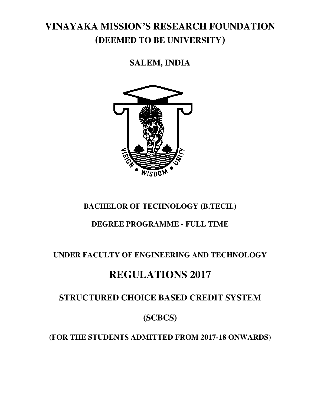# **VINAYAKA MISSION'S RESEARCH FOUNDATION (DEEMED TO BE UNIVERSITY )**

**SALEM, INDIA** 



## **BACHELOR OF TECHNOLOGY (B.TECH.)**

## **DEGREE PROGRAMME - FULL TIME**

## **UNDER FACULTY OF ENGINEERING AND TECHNOLOGY TECHNOLOGY**

# **REGULATION REGULATIONS 2017**

## **STRUCTURED CHOICE BASED CREDIT SYSTEM**

## **(SCBCS)**

**(FOR THE STUDENTS ADMITTED FROM 201 2017-18 ONWARDS)**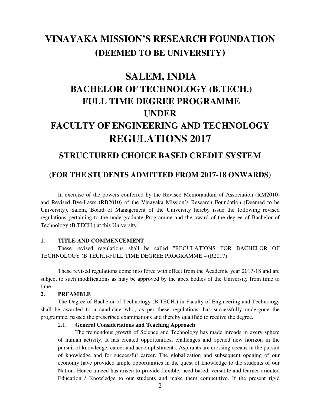# **VINAYAKA MISSION'S RESEARCH FOUNDATION (DEEMED TO BE UNIVERSITY)**

# **SALEM, INDIA BACHELOR OF TECHNOLOGY (B.TECH.) FULL TIME DEGREE PROGRAMME UNDER FACULTY OF ENGINEERING AND TECHNOLOGY REGULATIONS 2017**

## **STRUCTURED CHOICE BASED CREDIT SYSTEM**

## **(FOR THE STUDENTS ADMITTED FROM 2017-18 ONWARDS)**

 In exercise of the powers conferred by the Revised Memorandum of Association (RM2010) and Revised Bye-Laws (RB2010) of the Vinayaka Mission's Research Foundation (Deemed to be University), Salem, Board of Management of the University hereby issue the following revised regulations pertaining to the undergraduate Programme and the award of the degree of Bachelor of Technology (B.TECH.) at this University.

#### **1. TITLE AND COMMENCEMENT**

 These revised regulations shall be called "REGULATIONS FOR BACHELOR OF TECHNOLOGY (B.TECH.)-FULL TIME DEGREE PROGRAMME – (R2017).

These revised regulations come into force with effect from the Academic year 2017-18 and are subject to such modifications as may be approved by the apex bodies of the University from time to time.

#### **2. PREAMBLE**

The Degree of Bachelor of Technology (B.TECH.) in Faculty of Engineering and Technology shall be awarded to a candidate who, as per these regulations, has successfully undergone the programme, passed the prescribed examinations and thereby qualified to receive the degree.

#### 2.1. **General Considerations and Teaching Approach**

The tremendous growth of Science and Technology has made inroads in every sphere of human activity. It has created opportunities, challenges and opened new horizon in the pursuit of knowledge, career and accomplishments. Aspirants are crossing oceans in the pursuit of knowledge and for successful career. The globalization and subsequent opening of our economy have provided ample opportunities in the quest of knowledge to the students of our Nation. Hence a need has arisen to provide flexible, need based, versatile and learner oriented Education / Knowledge to our students and make them competitive. If the present rigid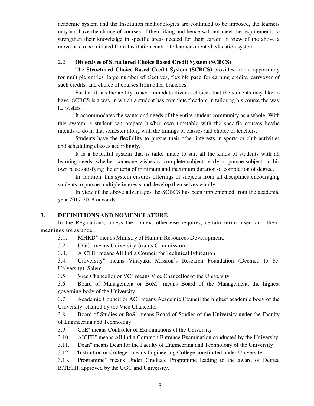academic system and the Institution methodologies are continued to be imposed, the learners may not have the choice of courses of their liking and hence will not meet the requirements to strengthen their knowledge in specific areas needed for their career. In view of the above a move has to be initiated from Institution centric to learner oriented education system.

### 2.2 **Objectives of Structured Choice Based Credit System (SCBCS)**

The **Structured Choice Based Credit System (SCBCS)** provides ample opportunity for multiple entries, large number of electives, flexible pace for earning credits, carryover of such credits, and choice of courses from other branches.

Further it has the ability to accommodate diverse choices that the students may like to have. SCBCS is a way in which a student has complete freedom in tailoring his course the way he wishes.

It accommodates the wants and needs of the entire student community as a whole. With this system, a student can prepare his/her own timetable with the specific courses he/she intends to do in that semester along with the timings of classes and choice of teachers.

Students have the flexibility to pursue their other interests in sports or club activities and scheduling classes accordingly.

It is a beautiful system that is tailor made to suit all the kinds of students with all learning needs, whether someone wishes to complete subjects early or pursue subjects at his own pace satisfying the criteria of minimum and maximum duration of completion of degree.

In addition, this system ensures offerings of subjects from all disciplines encouraging students to pursue multiple interests and develop themselves wholly.

In view of the above advantages the SCBCS has been implemented from the academic year 2017-2018 onwards.

#### **3. DEFINITIONS AND NOMENCLATURE**

In the Regulations, unless the context otherwise requires, certain terms used and their meanings are as under.

3.1. "MHRD" means Ministry of Human Resources Development.

3.2. "UGC" means University Grants Commission.

3.3. "AICTE" means All India Council for Technical Education

3.4. "University" means Vinayaka Mission's Research Foundation (Deemed to be University), Salem.

3.5. "Vice Chancellor or VC" means Vice Chancellor of the University

3.6. "Board of Management or BoM" means Board of the Management, the highest governing body of the University

3.7. "Academic Council or AC" means Academic Council the highest academic body of the University, chaired by the Vice Chancellor

3.8. "Board of Studies or BoS" means Board of Studies of the University under the Faculty of Engineering and Technology

3.9. "CoE" means Controller of Examinations of the University

3.10. "AICEE" means All India Common Entrance Examination conducted by the University

3.11. "Dean" means Dean for the Faculty of Engineering and Technology of the University

3.12. "Institution or College" means Engineering College constituted under University.

3.13. "Programme" means Under Graduate Programme leading to the award of Degree B.TECH. approved by the UGC and University.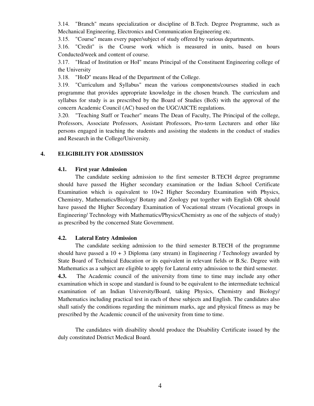3.14. "Branch" means specialization or discipline of B.Tech. Degree Programme, such as Mechanical Engineering, Electronics and Communication Engineering etc.

3.15. "Course" means every paper/subject of study offered by various departments.

3.16. "Credit" is the Course work which is measured in units, based on hours Conducted/week and content of course.

3.17. "Head of Institution or HoI" means Principal of the Constituent Engineering college of the University

3.18. "HoD" means Head of the Department of the College.

3.19. "Curriculum and Syllabus" mean the various components/courses studied in each programme that provides appropriate knowledge in the chosen branch. The curriculum and syllabus for study is as prescribed by the Board of Studies (BoS) with the approval of the concern Academic Council (AC) based on the UGC/AICTE regulations.

3.20. "Teaching Staff or Teacher" means The Dean of Faculty, The Principal of the college, Professors, Associate Professors, Assistant Professors, Pro-term Lecturers and other like persons engaged in teaching the students and assisting the students in the conduct of studies and Research in the College/University.

#### **4. ELIGIBILITY FOR ADMISSION**

#### **4.1. First year Admission**

The candidate seeking admission to the first semester B.TECH degree programme should have passed the Higher secondary examination or the Indian School Certificate Examination which is equivalent to 10+2 Higher Secondary Examination with Physics, Chemistry, Mathematics/Biology/ Botany and Zoology put together with English OR should have passed the Higher Secondary Examination of Vocational stream (Vocational groups in Engineering/ Technology with Mathematics/Physics/Chemistry as one of the subjects of study) as prescribed by the concerned State Government.

#### **4.2. Lateral Entry Admission**

 The candidate seeking admission to the third semester B.TECH of the programme should have passed a  $10 + 3$  Diploma (any stream) in Engineering / Technology awarded by State Board of Technical Education or its equivalent in relevant fields or B.Sc. Degree with Mathematics as a subject are eligible to apply for Lateral entry admission to the third semester.

**4.3.** The Academic council of the university from time to time may include any other examination which in scope and standard is found to be equivalent to the intermediate technical examination of an Indian University/Board, taking Physics, Chemistry and Biology/ Mathematics including practical test in each of these subjects and English. The candidates also shall satisfy the conditions regarding the minimum marks, age and physical fitness as may be prescribed by the Academic council of the university from time to time.

The candidates with disability should produce the Disability Certificate issued by the duly constituted District Medical Board.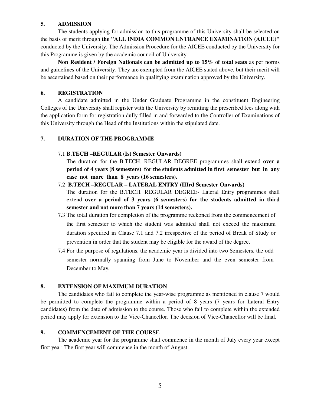### **5. ADMISSION**

The students applying for admission to this programme of this University shall be selected on the basis of merit through **the "ALL INDIA COMMON ENTRANCE EXAMINATION (AICEE)"** conducted by the University. The Admission Procedure for the AICEE conducted by the University for this Programme is given by the academic council of University.

**Non Resident / Foreign Nationals can be admitted up to 15% of total seats** as per norms and guidelines of the University. They are exempted from the AICEE stated above, but their merit will be ascertained based on their performance in qualifying examination approved by the University.

### **6. REGISTRATION**

A candidate admitted in the Under Graduate Programme in the constituent Engineering Colleges of the University shall register with the University by remitting the prescribed fees along with the application form for registration dully filled in and forwarded to the Controller of Examinations of this University through the Head of the Institutions within the stipulated date.

#### **7. DURATION OF THE PROGRAMME**

#### 7.1 **B.TECH –REGULAR (Ist Semester Onwards)**

The duration for the B.TECH. REGULAR DEGREE programmes shall extend **over a period of 4 years (8 semesters) for the students admitted in first semester but in any case not more than 8 years (16 semesters).** 

#### 7.2 **B.TECH –REGULAR – LATERAL ENTRY (IIIrd Semester Onwards)**

The duration for the B.TECH. REGULAR DEGREE- Lateral Entry programmes shall extend **over a period of 3 years (6 semesters) for the students admitted in third semester and not more than 7 years (14 semesters).** 

- 7.3 The total duration for completion of the programme reckoned from the commencement of the first semester to which the student was admitted shall not exceed the maximum duration specified in Clause 7.1 and 7.2 irrespective of the period of Break of Study or prevention in order that the student may be eligible for the award of the degree.
- 7.4 For the purpose of regulations, the academic year is divided into two Semesters, the odd semester normally spanning from June to November and the even semester from December to May.

#### **8. EXTENSION OF MAXIMUM DURATION**

The candidates who fail to complete the year-wise programme as mentioned in clause 7 would be permitted to complete the programme within a period of 8 years (7 years for Lateral Entry candidates) from the date of admission to the course. Those who fail to complete within the extended period may apply for extension to the Vice-Chancellor. The decision of Vice-Chancellor will be final.

#### **9. COMMENCEMENT OF THE COURSE**

The academic year for the programme shall commence in the month of July every year except first year. The first year will commence in the month of August.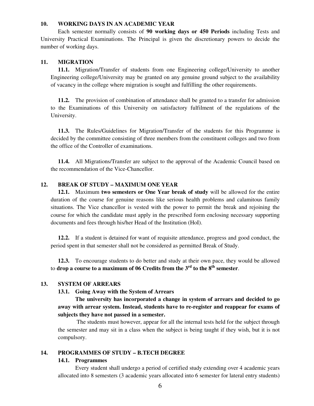#### **10. WORKING DAYS IN AN ACADEMIC YEAR**

Each semester normally consists of **90 working days or 450 Periods** including Tests and University Practical Examinations. The Principal is given the discretionary powers to decide the number of working days.

#### **11. MIGRATION**

**11.1.** Migration/Transfer of students from one Engineering college/University to another Engineering college/University may be granted on any genuine ground subject to the availability of vacancy in the college where migration is sought and fulfilling the other requirements.

**11.2.** The provision of combination of attendance shall be granted to a transfer for admission to the Examinations of this University on satisfactory fulfilment of the regulations of the University.

**11.3.** The Rules/Guidelines for Migration/Transfer of the students for this Programme is decided by the committee consisting of three members from the constituent colleges and two from the office of the Controller of examinations.

**11.4.** All Migrations/Transfer are subject to the approval of the Academic Council based on the recommendation of the Vice-Chancellor.

#### **12. BREAK OF STUDY – MAXIMUM ONE YEAR**

**12.1.** Maximum **two semesters or One Year break of study** will be allowed for the entire duration of the course for genuine reasons like serious health problems and calamitous family situations. The Vice chancellor is vested with the power to permit the break and rejoining the course for which the candidate must apply in the prescribed form enclosing necessary supporting documents and fees through his/her Head of the Institution (HoI).

**12.2.** If a student is detained for want of requisite attendance, progress and good conduct, the period spent in that semester shall not be considered as permitted Break of Study.

**12.3.** To encourage students to do better and study at their own pace, they would be allowed to **drop a course to a maximum of 06 Credits from the 3rd to the 8th semester**.

#### **13. SYSTEM OF ARREARS**

#### **13.1. Going Away with the System of Arrears**

**The university has incorporated a change in system of arrears and decided to go away with arrear system. Instead, students have to re-register and reappear for exams of subjects they have not passed in a semester.**

 The students must however, appear for all the internal tests held for the subject through the semester and may sit in a class when the subject is being taught if they wish, but it is not compulsory.

#### **14. PROGRAMMES OF STUDY – B.TECH DEGREE**

#### **14.1. Programmes**

Every student shall undergo a period of certified study extending over 4 academic years allocated into 8 semesters (3 academic years allocated into 6 semester for lateral entry students)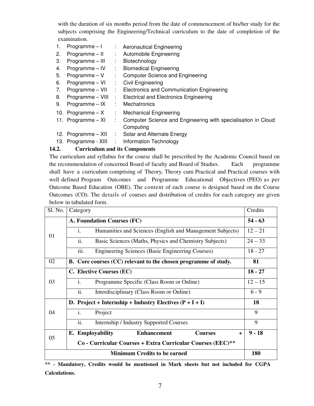with the duration of six months period from the date of commencement of his/her study for the subjects comprising the Engineering/Technical curriculum to the date of completion of the examination.

- 1. Programme I : Aeronautical Engineering
- 2. Programme II : Automobile Engineering
- 3. Programme III : Biotechnology
- 4. Programme IV : Biomedical Engineering
- 5. Programme V : Computer Science and Engineering
- 6. Programme VI : Civil Engineering
- 7. Programme VII : Electronics and Communication Engineering
- 8. Programme VIII : Electrical and Electronics Engineering
- 9. Programme IX : Mechatronics
- 10. Programme  $X$  : Mechanical Engineering
- 11. Programme XI : Computer Science and Engineering with specialisation in Cloud Computing
- 12. Programme XII : Solar and Alternate Energy
- 13. Programme XIII : Information Technology

## **14.2. Curriculum and its Components**

The curriculum and syllabus for the course shall be prescribed by the Academic Council based on the recommendation of concerned Board of faculty and Board of Studies. Each programme shall have a curriculum comprising of Theory, Theory cum Practical and Practical courses with well defined Program Outcomes and Programme Educational Objectives (PEO) as per Outcome Based Education (OBE). The content of each course is designed based on the Course Outcomes (CO). The details of courses and distribution of credits for each category are given below in tabulated form.

| Sl. No.                             | Category                                                                    | Credits   |
|-------------------------------------|-----------------------------------------------------------------------------|-----------|
|                                     | A. Foundation Courses (FC)                                                  | $54 - 63$ |
| 01                                  | $\mathbf{i}$ .<br>Humanities and Sciences (English and Management Subjects) | $12 - 21$ |
|                                     | ii.<br>Basic Sciences (Maths, Physics and Chemistry Subjects)               | $24 - 33$ |
|                                     | iii.<br><b>Engineering Sciences (Basic Engineering Courses)</b>             | $18 - 27$ |
| 02                                  | B. Core courses (CC) relevant to the chosen programme of study.             |           |
| 03                                  | C. Elective Courses (EC)                                                    | $18 - 27$ |
|                                     | Programme Specific (Class Room or Online)<br>İ.                             | $12 - 15$ |
|                                     | ii.<br>Interdisciplinary (Class Room or Online)                             | $6 - 9$   |
|                                     | D. Project + Internship + Industry Electives $(P + I + I)$                  | 18        |
| 04                                  | i.<br>Project                                                               | 9         |
|                                     | ii.<br>Internship / Industry Supported Courses                              | 9         |
|                                     | E. Employability<br><b>Enhancement</b><br><b>Courses</b><br>$\ddot{}$       | $9 - 18$  |
| 05                                  | Co - Curricular Courses + Extra Curricular Courses (EEC)**                  |           |
| <b>Minimum Credits to be earned</b> |                                                                             |           |

**\*\* - Mandatory, Credits would be mentioned in Mark sheets but not included for CGPA Calculations.**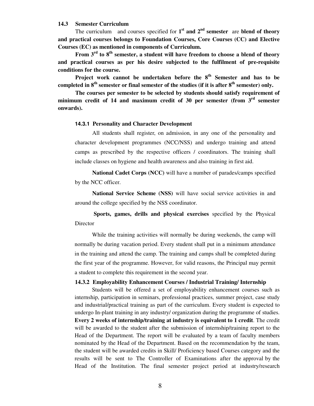#### **14.3 Semester Curriculum**

The curriculum and courses specified for  $1<sup>st</sup>$  and  $2<sup>nd</sup>$  semester are blend of theory **and practical courses belongs to Foundation Courses, Core Courses (CC) and Elective Courses (EC) as mentioned in components of Curriculum.** 

 **From 3rd to 8th semester, a student will have freedom to choose a blend of theory and practical courses as per his desire subjected to the fulfilment of pre-requisite conditions for the course.** 

**Project work cannot be undertaken before the 8th Semester and has to be completed in 8th semester or final semester of the studies (if it is after 8th semester) only.** 

**The courses per semester to be selected by students should satisfy requirement of minimum credit of 14 and maximum credit of 30 per semester (from 3rd semester onwards).** 

#### **14.3.1 Personality and Character Development**

All students shall register, on admission, in any one of the personality and character development programmes (NCC/NSS) and undergo training and attend camps as prescribed by the respective officers / coordinators. The training shall include classes on hygiene and health awareness and also training in first aid.

**National Cadet Corps (NCC)** will have a number of parades/camps specified by the NCC officer.

**National Service Scheme (NSS)** will have social service activities in and around the college specified by the NSS coordinator.

**Sports, games, drills and physical exercises** specified by the Physical Director

While the training activities will normally be during weekends, the camp will normally be during vacation period. Every student shall put in a minimum attendance in the training and attend the camp. The training and camps shall be completed during the first year of the programme. However, for valid reasons, the Principal may permit a student to complete this requirement in the second year.

#### **14.3.2 Employability Enhancement Courses / Industrial Training/ Internship**

Students will be offered a set of employability enhancement courses such as internship, participation in seminars, professional practices, summer project, case study and industrial/practical training as part of the curriculum. Every student is expected to undergo In-plant training in any industry/ organization during the programme of studies. **Every 2 weeks of internship/training at industry is equivalent to 1 credit**. The credit will be awarded to the student after the submission of internship/training report to the Head of the Department. The report will be evaluated by a team of faculty members nominated by the Head of the Department. Based on the recommendation by the team, the student will be awarded credits in Skill/ Proficiency based Courses category and the results will be sent to The Controller of Examinations after the approval by the Head of the Institution. The final semester project period at industry/research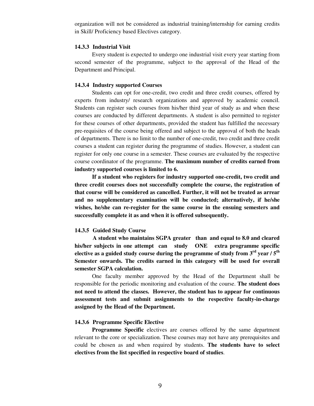organization will not be considered as industrial training/internship for earning credits in Skill/ Proficiency based Electives category.

#### **14.3.3 Industrial Visit**

Every student is expected to undergo one industrial visit every year starting from second semester of the programme, subject to the approval of the Head of the Department and Principal.

#### **14.3.4 Industry supported Courses**

Students can opt for one-credit, two credit and three credit courses, offered by experts from industry/ research organizations and approved by academic council. Students can register such courses from his/her third year of study as and when these courses are conducted by different departments. A student is also permitted to register for these courses of other departments, provided the student has fulfilled the necessary pre-requisites of the course being offered and subject to the approval of both the heads of departments. There is no limit to the number of one-credit, two credit and three credit courses a student can register during the programme of studies. However, a student can register for only one course in a semester. These courses are evaluated by the respective course coordinator of the programme. **The maximum number of credits earned from industry supported courses is limited to 6.** 

**If a student who registers for industry supported one-credit, two credit and three credit courses does not successfully complete the course, the registration of that course will be considered as cancelled. Further, it will not be treated as arrear and no supplementary examination will be conducted; alternatively, if he/she wishes, he/she can re-register for the same course in the ensuing semesters and successfully complete it as and when it is offered subsequently.** 

#### **14.3.5 Guided Study Course**

 **A student who maintains SGPA greater than and equal to 8.0 and cleared his/her subjects in one attempt can study ONE extra programme specific elective as a guided study course during the programme of study from 3rd year / 5th Semester onwards. The credits earned in this category will be used for overall semester SGPA calculation.**

One faculty member approved by the Head of the Department shall be responsible for the periodic monitoring and evaluation of the course. **The student does not need to attend the classes. However, the student has to appear for continuous assessment tests and submit assignments to the respective faculty-in-charge assigned by the Head of the Department.**

#### **14.3.6 Programme Specific Elective**

**Programme Specific** electives are courses offered by the same department relevant to the core or specialization. These courses may not have any prerequisites and could be chosen as and when required by students. **The students have to select electives from the list specified in respective board of studies**.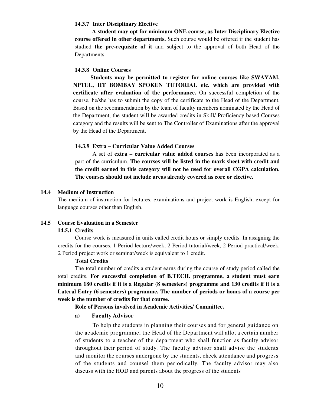#### **14.3.7 Inter Disciplinary Elective**

**A student may opt for minimum ONE course, as Inter Disciplinary Elective course offered in other departments.** Such course would be offered if the student has studied **the pre-requisite of it** and subject to the approval of both Head of the Departments.

#### **14.3.8 Online Courses**

**Students may be permitted to register for online courses like SWAYAM, NPTEL, IIT BOMBAY SPOKEN TUTORIAL etc. which are provided with certificate after evaluation of the performance.** On successful completion of the course, he/she has to submit the copy of the certificate to the Head of the Department. Based on the recommendation by the team of faculty members nominated by the Head of the Department, the student will be awarded credits in Skill/ Proficiency based Courses category and the results will be sent to The Controller of Examinations after the approval by the Head of the Department.

#### **14.3.9 Extra – Curricular Value Added Courses**

A set of **extra – curricular value added courses** has been incorporated as a part of the curriculum. **The courses will be listed in the mark sheet with credit and the credit earned in this category will not be used for overall CGPA calculation. The courses should not include areas already covered as core or elective.** 

#### **14.4 Medium of Instruction**

The medium of instruction for lectures, examinations and project work is English, except for language courses other than English.

## **14.5 Course Evaluation in a Semester**

#### **14.5.1 Credits**

Course work is measured in units called credit hours or simply credits. In assigning the credits for the courses, 1 Period lecture/week, 2 Period tutorial/week, 2 Period practical/week, 2 Period project work or seminar/week is equivalent to 1 credit.

#### **Total Credits**

The total number of credits a student earns during the course of study period called the total credits. **For successful completion of B.TECH. programme, a student must earn minimum 180 credits if it is a Regular (8 semesters) programme and 130 credits if it is a Lateral Entry (6 semesters) programme. The number of periods or hours of a course per week is the number of credits for that course.**

**Role of Persons involved in Academic Activities/ Committee.** 

#### **a) Faculty Advisor**

To help the students in planning their courses and for general guidance on the academic programme, the Head of the Department will allot a certain number of students to a teacher of the department who shall function as faculty advisor throughout their period of study. The faculty advisor shall advise the students and monitor the courses undergone by the students, check attendance and progress of the students and counsel them periodically. The faculty advisor may also discuss with the HOD and parents about the progress of the students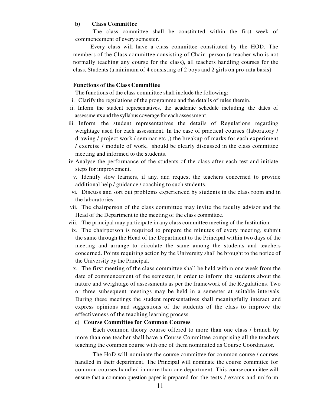#### **b) Class Committee**

The class committee shall be constituted within the first week of commencement of every semester.

Every class will have a class committee constituted by the HOD. The members of the Class committee consisting of Chair- person (a teacher who is not normally teaching any course for the class), all teachers handling courses for the class, Students (a minimum of 4 consisting of 2 boys and 2 girls on pro-rata basis)

#### **Functions of the Class Committee**

The functions of the class committee shall include the following:

- i. Clarify the regulations of the programme and the details of rules therein.
- ii. Inform the student representatives, the academic schedule including the dates of assessments and the syllabus coverage for each assessment.
- iii. Inform the student representatives the details of Regulations regarding weightage used for each assessment. In the case of practical courses (laboratory / drawing / project work / seminar etc.,) the breakup of marks for each experiment / exercise / module of work, should be clearly discussed in the class committee meeting and informed to the students.
- iv.Analyse the performance of the students of the class after each test and initiate steps for improvement.
	- v. Identify slow learners, if any, and request the teachers concerned to provide additional help / guidance / coaching to such students.
- vi. Discuss and sort out problems experienced by students in the class room and in the laboratories.
- vii. The chairperson of the class committee may invite the faculty advisor and the Head of the Department to the meeting of the class committee.
- viii. The principal may participate in any class committee meeting of the Institution.
- ix. The chairperson is required to prepare the minutes of every meeting, submit the same through the Head of the Department to the Principal within two days of the meeting and arrange to circulate the same among the students and teachers concerned. Points requiring action by the University shall be brought to the notice of the University by the Principal.

x. The first meeting of the class committee shall be held within one week from the date of commencement of the semester, in order to inform the students about the nature and weightage of assessments as per the framework of the Regulations. Two or three subsequent meetings may be held in a semester at suitable intervals. During these meetings the student representatives shall meaningfully interact and express opinions and suggestions of the students of the class to improve the effectiveness of the teaching learning process.

#### **c) Course Committee for Common Courses**

Each common theory course offered to more than one class / branch by more than one teacher shall have a Course Committee comprising all the teachers teaching the common course with one of them nominated as Course Coordinator.

The HoD will nominate the course committee for common course / courses handled in their department. The Principal will nominate the course committee for common courses handled in more than one department. This course committee will ensure that a common question paper is prepared for the tests / exams and uniform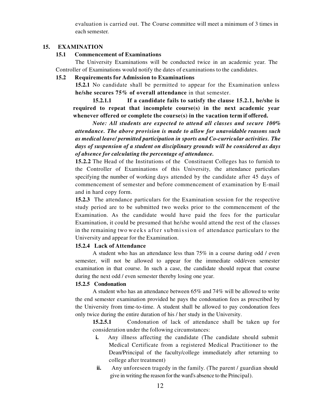evaluation is carried out. The Course committee will meet a minimum of 3 times in each semester.

#### **15. EXAMINATION**

#### **15.1 Commencement of Examinations**

The University Examinations will be conducted twice in an academic year. The Controller of Examinations would notify the dates of examinations to the candidates.

#### **15.2 Requirements for Admission to Examinations**

**15.2.1** No candidate shall be permitted to appear for the Examination unless **he/she secures 75% of overall attendance** in that semester.

**15.2.1.1 If a candidate fails to satisfy the clause 15.2.1, he/she is required to repeat that incomplete course(s) in the next academic year whenever offered or complete the course(s) in the vacation term if offered.** 

*Note: All students are expected to attend all classes and secure 100% attendance. The above provision is made to allow for unavoidable reasons such as medical leave/ permitted participation in sports and Co-curricular activities. The days of suspension of a student on disciplinary grounds will be considered as days of absence for calculating the percentage of attendance.* 

**15.2.2** The Head of the Institutions of the Constituent Colleges has to furnish to the Controller of Examinations of this University, the attendance particulars specifying the number of working days attended by the candidate after 45 days of commencement of semester and before commencement of examination by E-mail and in hard copy form.

**15.2.3** The attendance particulars for the Examination session for the respective study period are to be submitted two weeks prior to the commencement of the Examination. As the candidate would have paid the fees for the particular Examination, it could be presumed that he/she would attend the rest of the classes in the remaining two weeks after submission of attendance particulars to the University and appear for the Examination.

#### **15.2.4 Lack of Attendance**

A student who has an attendance less than 75% in a course during odd / even semester, will not be allowed to appear for the immediate odd/even semester examination in that course. In such a case, the candidate should repeat that course during the next odd / even semester thereby losing one year.

#### **15.2.5 Condonation**

A student who has an attendance between 65% and 74% will be allowed to write the end semester examination provided he pays the condonation fees as prescribed by the University from time-to-time. A student shall be allowed to pay condonation fees only twice during the entire duration of his / her study in the University.

**15.2.5.1** Condonation of lack of attendance shall be taken up for consideration under the following circumstances:

- **i.** Any illness affecting the candidate (The candidate should submit Medical Certificate from a registered Medical Practitioner to the Dean/Principal of the faculty/college immediately after returning to college after treatment)
- **ii.** Any unforeseen tragedy in the family. (The parent / guardian should give in writing the reason for the ward's absence to the Principal).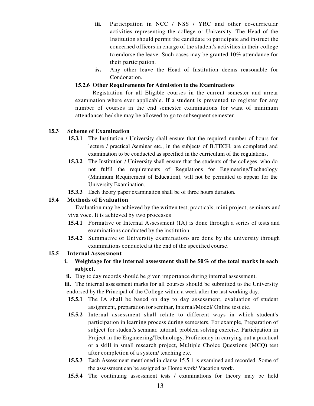- **iii.** Participation in NCC / NSS / YRC and other co-curricular activities representing the college or University. The Head of the Institution should permit the candidate to participate and instruct the concerned officers in charge of the student's activities in their college to endorse the leave. Such cases may be granted 10% attendance for their participation.
- **iv.** Any other leave the Head of Institution deems reasonable for Condonation.

## **15.2.6 Other Requirements for Admission to the Examinations**

Registration for all Eligible courses in the current semester and arrear examination where ever applicable. If a student is prevented to register for any number of courses in the end semester examinations for want of minimum attendance; he/ she may be allowed to go to subsequent semester.

## **15.3 Scheme of Examination**

- **15.3.1** The Institution / University shall ensure that the required number of hours for lecture / practical /seminar etc., in the subjects of B.TECH. are completed and examination to be conducted as specified in the curriculum of the regulations.
- **15.3.2** The Institution / University shall ensure that the students of the colleges, who do not fulfil the requirements of Regulations for Engineering/Technology (Minimum Requirement of Education), will not be permitted to appear for the University Examination.
- **15.3.3** Each theory paper examination shall be of three hours duration.

## **15.4 Methods of Evaluation**

Evaluation may be achieved by the written test, practicals, mini project, seminars and viva voce. It is achieved by two processes

- **15.4.1** Formative or Internal Assessment (IA) is done through a series of tests and examinations conducted by the institution.
- **15.4.2** Summative or University examinations are done by the university through examinations conducted at the end of the specified course.

## **15.5 Internal Assessment**

- **i. Weightage for the internal assessment shall be 50% of the total marks in each subject.**
- **ii.** Day to day records should be given importance during internal assessment.

**iii.** The internal assessment marks for all courses should be submitted to the University endorsed by the Principal of the College within a week after the last working day.

- **15.5.1** The IA shall be based on day to day assessment, evaluation of student assignment, preparation for seminar, Internal/Model/ Online test etc.
- **15.5.2** Internal assessment shall relate to different ways in which student's participation in learning process during semesters. For example, Preparation of subject for student's seminar, tutorial, problem solving exercise, Participation in Project in the Engineering/Technology, Proficiency in carrying out a practical or a skill in small research project, Multiple Choice Questions (MCQ) test after completion of a system/ teaching etc.
- **15.5.3** Each Assessment mentioned in clause 15.5.1 is examined and recorded. Some of the assessment can be assigned as Home work/ Vacation work.
- **15.5.4** The continuing assessment tests / examinations for theory may be held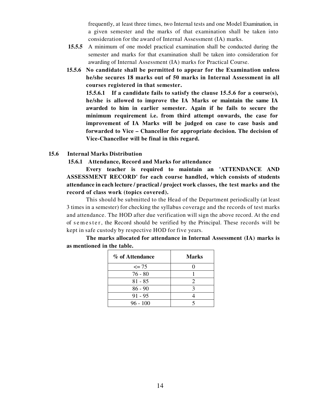frequently, at least three times, two Internal tests and one Model Examination, in a given semester and the marks of that examination shall be taken into consideration for the award of Internal Assessment (IA) marks.

- **15.5.5** A minimum of one model practical examination shall be conducted during the semester and marks for that examination shall be taken into consideration for awarding of Internal Assessment (IA) marks for Practical Course.
- **15.5.6 No candidate shall be permitted to appear for the Examination unless he/she secures 18 marks out of 50 marks in Internal Assessment in all courses registered in that semester.**

**15.5.6.1 If a candidate fails to satisfy the clause 15.5.6 for a course(s), he/she is allowed to improve the IA Marks or maintain the same IA awarded to him in earlier semester. Again if he fails to secure the minimum requirement i.e. from third attempt onwards, the case for improvement of IA Marks will be judged on case to case basis and forwarded to Vice – Chancellor for appropriate decision. The decision of Vice-Chancellor will be final in this regard.** 

#### **15.6 Internal Marks Distribution**

#### **15.6.1 Attendance, Record and Marks for attendance**

**Every teacher is required to maintain an 'ATTENDANCE AND ASSESSMENT RECORD' for each course handled, which consists of students attendance in each lecture / practical / project work classes, the test marks and the record of class work (topics covered).**

This should be submitted to the Head of the Department periodically (at least 3 times in a semester) for checking the syllabus coverage and the records of test marks and attendance. The HOD after due verification will sign the above record. At the end of semester, the Record should be verified by the Principal. These records will be kept in safe custody by respective HOD for five years.

| % of Attendance | <b>Marks</b> |
|-----------------|--------------|
| $\leq$ 75       |              |
| $76 - 80$       |              |
| $81 - 85$       |              |
| $86 - 90$       | 2            |
| $91 - 95$       |              |
| $96 - 100$      |              |

**The marks allocated for attendance in Internal Assessment (IA) marks is as mentioned in the table.**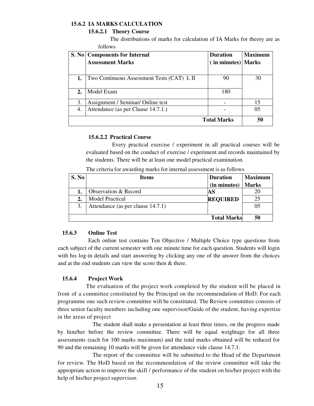### **15.6.2 IA MARKS CALCULATION**

#### **15.6.2.1 Theory Course**

The distributions of marks for calculation of IA Marks for theory are as follows

|                    | S. No   Components for Internal             | <b>Duration</b>    | <b>Maximum</b> |
|--------------------|---------------------------------------------|--------------------|----------------|
|                    | <b>Assessment Marks</b>                     | (in minutes) Marks |                |
|                    |                                             |                    |                |
| 1.                 | Two Continuous Assessment Tests (CAT) I, II | 90                 | 30             |
|                    |                                             |                    |                |
| 2.                 | Model Exam                                  | 180                |                |
|                    |                                             |                    |                |
| 3.                 | Assignment / Seminar/ Online test           |                    | 15             |
| 4.                 | Attendance (as per Clause 14.7.1.)          |                    | 05             |
| <b>Total Marks</b> |                                             |                    | 50             |

#### **15.6.2.2 Practical Course**

Every practical exercise / experiment in all practical courses will be evaluated based on the conduct of exercise / experiment and records maintained by the students. There will be at least one model practical examination.

| S. No | <b>Items</b>                      | <b>Duration</b>    | <b>Maximum</b> |
|-------|-----------------------------------|--------------------|----------------|
|       |                                   | (in minutes)       | <b>Marks</b>   |
|       | Observation & Record              | AS                 |                |
| 2.    | <b>Model Practical</b>            | <b>REQUIRED</b>    |                |
|       | Attendance (as per clause 14.7.1) |                    | 05             |
|       |                                   |                    |                |
|       |                                   | <b>Total Marks</b> | 50             |

The criteria for awarding marks for internal assessment is as follows

## **15.6.3 Online Test**

Each online test contains Ten Objective / Multiple Choice type questions from each subject of the current semester with one minute time for each question. Students will login with his log-in details and start answering by clicking any one of the answer from the choices and at the end students can view the score then & there.

## **15.6.4 Project Work**

 The evaluation of the project work completed by the student will be placed in front of a committee constituted by the Principal on the recommendation of HoD. For each programme one such review committee will be constituted. The Review committee consists of three senior faculty members including one supervisor/Guide of the student, having expertise in the areas of project

 The student shall make a presentation at least three times, on the progress made by him/her before the review committee. There will be equal weightage for all three assessments (each for 100 marks maximum) and the total marks obtained will be reduced for 90 and the remaining 10 marks will be given for attendance vide clause 14.7.1.

 The report of the committee will be submitted to the Head of the Department for review. The HoD based on the recommendation of the review committee will take the appropriate action to improve the skill / performance of the student on his/her project with the help of his/her project supervisor.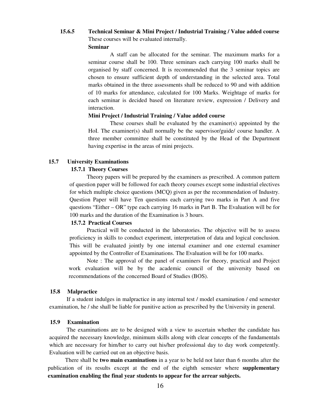## **15.6.5 Technical Seminar & Mini Project / Industrial Training / Value added course**  These courses will be evaluated internally.

#### **Seminar**

A staff can be allocated for the seminar. The maximum marks for a seminar course shall be 100. Three seminars each carrying 100 marks shall be organised by staff concerned. It is recommended that the 3 seminar topics are chosen to ensure sufficient depth of understanding in the selected area. Total marks obtained in the three assessments shall be reduced to 90 and with addition of 10 marks for attendance, calculated for 100 Marks. Weightage of marks for each seminar is decided based on literature review, expression / Delivery and interaction.

#### **Mini Project / Industrial Training / Value added course**

These courses shall be evaluated by the examiner(s) appointed by the HoI. The examiner(s) shall normally be the supervisor/guide/ course handler. A three member committee shall be constituted by the Head of the Department having expertise in the areas of mini projects.

#### **15.7 University Examinations**

#### **15.7.1 Theory Courses**

Theory papers will be prepared by the examiners as prescribed. A common pattern of question paper will be followed for each theory courses except some industrial electives for which multiple choice questions (MCQ) given as per the recommendation of Industry. Question Paper will have Ten questions each carrying two marks in Part A and five questions "Either – OR" type each carrying 16 marks in Part B. The Evaluation will be for 100 marks and the duration of the Examination is 3 hours.

#### **15.7.2 Practical Courses**

Practical will be conducted in the laboratories. The objective will be to assess proficiency in skills to conduct experiment, interpretation of data and logical conclusion. This will be evaluated jointly by one internal examiner and one external examiner appointed by the Controller of Examinations. The Evaluation will be for 100 marks.

Note : The approval of the panel of examiners for theory, practical and Project work evaluation will be by the academic council of the university based on recommendations of the concerned Board of Studies (BOS).

#### **15.8 Malpractice**

If a student indulges in malpractice in any internal test / model examination / end semester examination, he / she shall be liable for punitive action as prescribed by the University in general.

#### **15.9 Examination**

The examinations are to be designed with a view to ascertain whether the candidate has acquired the necessary knowledge, minimum skills along with clear concepts of the fundamentals which are necessary for him/her to carry out his/her professional day to day work competently. Evaluation will be carried out on an objective basis.

There shall be **two main examinations** in a year to be held not later than 6 months after the publication of its results except at the end of the eighth semester where **supplementary examination enabling the final year students to appear for the arrear subjects.**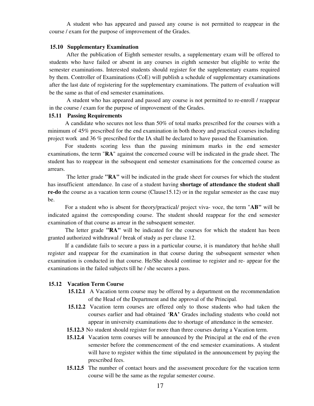A student who has appeared and passed any course is not permitted to reappear in the course / exam for the purpose of improvement of the Grades.

#### **15.10 Supplementary Examination**

After the publication of Eighth semester results, a supplementary exam will be offered to students who have failed or absent in any courses in eighth semester but eligible to write the semester examinations. Interested students should register for the supplementary exams required by them. Controller of Examinations (CoE) will publish a schedule of supplementary examinations after the last date of registering for the supplementary examinations. The pattern of evaluation will be the same as that of end semester examinations.

A student who has appeared and passed any course is not permitted to re-enroll / reappear in the course / exam for the purpose of improvement of the Grades.

#### **15.11 Passing Requirements**

A candidate who secures not less than 50% of total marks prescribed for the courses with a minimum of 45% prescribed for the end examination in both theory and practical courses including project work and 36 % prescribed for the IA shall be declared to have passed the Examination.

For students scoring less than the passing minimum marks in the end semester examinations, the term "**RA**" against the concerned course will be indicated in the grade sheet. The student has to reappear in the subsequent end semester examinations for the concerned course as arrears.

 The letter grade **"RA"** will be indicated in the grade sheet for courses for which the student has insufficient attendance. In case of a student having **shortage of attendance the student shall re-do** the course as a vacation term course (Clause15.12) or in the regular semester as the case may be.

For a student who is absent for theory/practical/ project viva- voce, the term "**AB"** will be indicated against the corresponding course. The student should reappear for the end semester examination of that course as arrear in the subsequent semester.

The letter grade **"RA"** will be indicated for the courses for which the student has been granted authorized withdrawal / break of study as per clause 12.

If a candidate fails to secure a pass in a particular course, it is mandatory that he/she shall register and reappear for the examination in that course during the subsequent semester when examination is conducted in that course. He/She should continue to register and re- appear for the examinations in the failed subjects till he / she secures a pass.

#### **15.12 Vacation Term Course**

- **15.12.1** A Vacation term course may be offered by a department on the recommendation of the Head of the Department and the approval of the Principal.
- **15.12.2** Vacation term courses are offered only to those students who had taken the courses earlier and had obtained '**RA'** Grades including students who could not appear in university examinations due to shortage of attendance in the semester.
- **15.12.3** No student should register for more than three courses during a Vacation term.
- **15.12.4** Vacation term courses will be announced by the Principal at the end of the even semester before the commencement of the end semester examinations. A student will have to register within the time stipulated in the announcement by paying the prescribed fees.
- **15.12.5** The number of contact hours and the assessment procedure for the vacation term course will be the same as the regular semester course.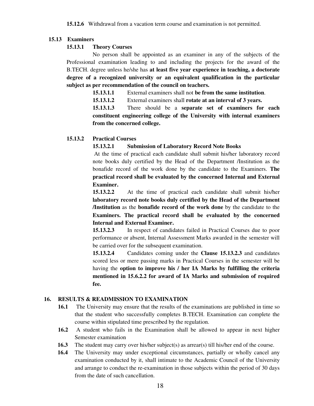#### **15.13 Examiners**

#### **15.13.1 Theory Courses**

No person shall be appointed as an examiner in any of the subjects of the Professional examination leading to and including the projects for the award of the B.TECH. degree unless he/she has **at least five year experience in teaching, a doctorate degree of a recognized university or an equivalent qualification in the particular subject as per recommendation of the council on teachers.** 

**15.13.1.1** External examiners shall not **be from the same institution**.

**15.13.1.2** External examiners shall **rotate at an interval of 3 years.** 

**15.13.1.3** There should be a **separate set of examiners for each constituent engineering college of the University with internal examiners from the concerned college.** 

#### **15.13.2 Practical Courses**

#### **15.13.2.1 Submission of Laboratory Record Note Books**

At the time of practical each candidate shall submit his/her laboratory record note books duly certified by the Head of the Department /Institution as the bonafide record of the work done by the candidate to the Examiners. **The practical record shall be evaluated by the concerned Internal and External Examiner.** 

**15.13.2.2** At the time of practical each candidate shall submit his/her **laboratory record note books duly certified by the Head of the Department /Institution** as the **bonafide record of the work done** by the candidate to the **Examiners. The practical record shall be evaluated by the concerned Internal and External Examiner.**

**15.13.2.3** In respect of candidates failed in Practical Courses due to poor performance or absent, Internal Assessment Marks awarded in the semester will be carried over for the subsequent examination.

**15.13.2.4** Candidates coming under the **Clause 15.13.2.3** and candidates scored less or mere passing marks in Practical Courses in the semester will be having the **option to improve his / her IA Marks by fulfilling the criteria mentioned in 15.6.2.2 for award of IA Marks and submission of required fee.**

#### **16. RESULTS & READMISSION TO EXAMINATION**

- **16.1** The University may ensure that the results of the examinations are published in time so that the student who successfully completes B.TECH. Examination can complete the course within stipulated time prescribed by the regulation.
- **16.2** A student who fails in the Examination shall be allowed to appear in next higher Semester examination
- **16.3** The student may carry over his/her subject(s) as arrear(s) till his/her end of the course.
- **16.4** The University may under exceptional circumstances, partially or wholly cancel any examination conducted by it, shall intimate to the Academic Council of the University and arrange to conduct the re-examination in those subjects within the period of 30 days from the date of such cancellation.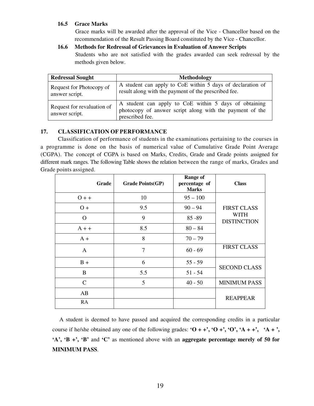## **16.5 Grace Marks**

 Grace marks will be awarded after the approval of the Vice - Chancellor based on the recommendation of the Result Passing Board constituted by the Vice - Chancellor.

## **16.6 Methods for Redressal of Grievances in Evaluation of Answer Scripts**

 Students who are not satisfied with the grades awarded can seek redressal by the methods given below.

| <b>Redressal Sought</b>                      | Methodology                                                                                                                          |  |  |
|----------------------------------------------|--------------------------------------------------------------------------------------------------------------------------------------|--|--|
| Request for Photocopy of<br>answer script.   | A student can apply to CoE within 5 days of declaration of<br>result along with the payment of the prescribed fee.                   |  |  |
| Request for revaluation of<br>answer script. | A student can apply to CoE within 5 days of obtaining<br>photocopy of answer script along with the payment of the<br>prescribed fee. |  |  |

## **17. CLASSIFICATION OF PERFORMANCE**

 Classification of performance of students in the examinations pertaining to the courses in a programme is done on the basis of numerical value of Cumulative Grade Point Average (CGPA). The concept of CGPA is based on Marks, Credits, Grade and Grade points assigned for different mark ranges. The following Table shows the relation between the range of marks, Grades and Grade points assigned.

| Grade         | <b>Grade Points(GP)</b> | <b>Range of</b><br>percentage of<br><b>Marks</b> | <b>Class</b>               |  |
|---------------|-------------------------|--------------------------------------------------|----------------------------|--|
| $0 + +$       | 10                      | $95 - 100$                                       |                            |  |
| $0+$          | 9.5                     | $90 - 94$                                        | <b>FIRST CLASS</b>         |  |
| $\Omega$      | 9                       | $85 - 89$                                        | WITH<br><b>DISTINCTION</b> |  |
| $A + +$       | 8.5                     | $80 - 84$                                        |                            |  |
| $A +$         | 8                       | $70 - 79$                                        |                            |  |
| $\mathbf{A}$  | $\overline{7}$          | $60 - 69$                                        | <b>FIRST CLASS</b>         |  |
| $B +$         | 6                       | $55 - 59$                                        | <b>SECOND CLASS</b>        |  |
| B             | 5.5                     | $51 - 54$                                        |                            |  |
| $\mathcal{C}$ | 5                       | $40 - 50$                                        | <b>MINIMUM PASS</b>        |  |
| AB            |                         |                                                  |                            |  |
| RA            |                         |                                                  | <b>REAPPEAR</b>            |  |

A student is deemed to have passed and acquired the corresponding credits in a particular course if he/she obtained any one of the following grades:  $\mathbf{O} + \mathbf{+}'$ ,  $\mathbf{O} + \mathbf{+}'$ ,  $\mathbf{O}'$ ,  $\mathbf{A} + \mathbf{+}'$ ,  $\mathbf{A} + \mathbf{+}'$ ,  $\mathbf{A} + \mathbf{+}'$ , **'A', 'B +', 'B'** and **'C'** as mentioned above with an **aggregate percentage merely of 50 for MINIMUM PASS**.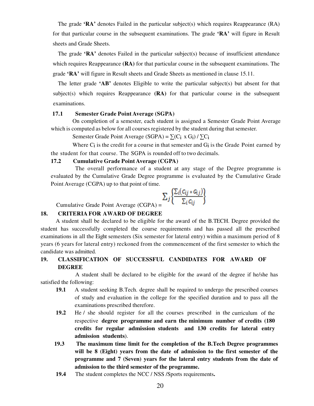The grade **'RA'** denotes Failed in the particular subject(s) which requires Reappearance (RA) for that particular course in the subsequent examinations. The grade **'RA'** will figure in Result sheets and Grade Sheets.

 The grade **'RA'** denotes Failed in the particular subject(s) because of insufficient attendance which requires Reappearance **(RA)** for that particular course in the subsequent examinations. The grade **'RA'** will figure in Result sheets and Grade Sheets as mentioned in clause 15.11.

 The letter grade **'AB'** denotes Eligible to write the particular subject(s) but absent for that subject(s) which requires Reappearance  $(RA)$  for that particular course in the subsequent examinations.

#### **17.1 Semester Grade Point Average (SGPA)**

On completion of a semester, each student is assigned a Semester Grade Point Average which is computed as below for all courses registered by the student during that semester.

Semester Grade Point Average (SGPA) =  $\sum (C_i \times G_i) / \sum C_i$ 

Where  $C_i$  is the credit for a course in that semester and  $G_i$  is the Grade Point earned by the student for that course. The SGPA is rounded off to two decimals.

#### **17.2 Cumulative Grade Point Average (CGPA)**

The overall performance of a student at any stage of the Degree programme is evaluated by the Cumulative Grade Degree programme is evaluated by the Cumulative Grade Point Average (CGPA) up to that point of time.

$$
\Sigma_j\left\{\frac{\Sigma_i(c_{ij}*c_{ij})}{\Sigma_i c_{ij}}\right\}
$$

Cumulative Grade Point Average (CGPA) =

#### **18. CRITERIA FOR AWARD OF DEGREE**

A student shall be declared to be eligible for the award of the B.TECH. Degree provided the student has successfully completed the course requirements and has passed all the prescribed examinations in all the Eight semesters (Six semester for lateral entry) within a maximum period of 8 years (6 years for lateral entry) reckoned from the commencement of the first semester to which the candidate was admitted.

## **19. CLASSIFICATION OF SUCCESSFUL CANDIDATES FOR AWARD OF DEGREE**

A student shall be declared to be eligible for the award of the degree if he/she has satisfied the following:

- **19.1** A student seeking B.Tech. degree shall be required to undergo the prescribed courses of study and evaluation in the college for the specified duration and to pass all the examinations prescribed therefore.
- **19.2** He / she should register for all the courses prescribed in the curriculum of the respective **degree programme and earn the minimum number of credits (180 credits for regular admission students and 130 credits for lateral entry admission students**).
- **19.3 The maximum time limit for the completion of the B.Tech Degree programmes will be 8 (Eight) years from the date of admission to the first semester of the programme and 7 (Seven) years for the lateral entry students from the date of admission to the third semester of the programme.**
- **19.4** The student completes the NCC / NSS /Sports requirements**.**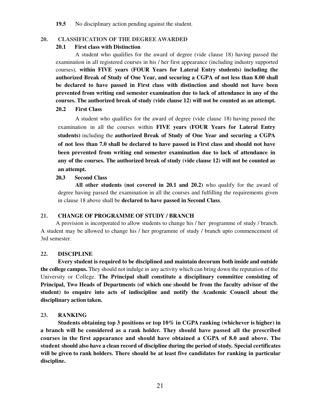**19.5** No disciplinary action pending against the student.

#### **20. CLASSIFICATION OF THE DEGREE AWARDED**

#### **20.1 First class with Distinction**

A student who qualifies for the award of degree (vide clause 18) having passed the examination in all registered courses in his / her first appearance (including industry supported courses), **within FIVE years (FOUR Years for Lateral Entry students) including the authorized Break of Study of One Year, and securing a CGPA of not less than 8.00 shall be declared to have passed in First class with distinction and should not have been prevented from writing end semester examination due to lack of attendance in any of the courses. The authorized break of study (vide clause 12) will not be counted as an attempt.** 

#### **20.2 First Class**

A student who qualifies for the award of degree (vide clause 18) having passed the examination in all the courses within **FIVE years (FOUR Years for Lateral Entry students)** including the **authorized Break of Study of One Year and securing a CGPA of not less than 7.0 shall be declared to have passed in First class and should not have been prevented from writing end semester examination due to lack of attendance in any of the courses. The authorized break of study (vide clause 12) will not be counted as an attempt.** 

#### **20.3 Second Class**

**All other students (not covered in 20.1 and 20.2)** who qualify for the award of degree having passed the examination in all the courses and fulfilling the requirements given in clause 18 above shall be **declared to have passed in Second Class**.

#### **21. CHANGE OF PROGRAMME OF STUDY / BRANCH**

A provision is incorporated to allow students to change his / her programme of study / branch. A student may be allowed to change his / her programme of study / branch upto commencement of 3rd semester.

#### **22. DISCIPLINE**

**Every student is required to be disciplined and maintain decorum both inside and outside the college campus.** They should not indulge in any activity which can bring down the reputation of the University or College. **The Principal shall constitute a disciplinary committee consisting of Principal, Two Heads of Departments (of which one should be from the faculty advisor of the student) to enquire into acts of indiscipline and notify the Academic Council about the disciplinary action taken.** 

#### **23. RANKING**

 **Students obtaining top 3 positions or top 10% in CGPA ranking (whichever is higher) in a branch will be considered as a rank holder. They should have passed all the prescribed courses in the first appearance and should have obtained a CGPA of 8.0 and above. The student should also have a clean record of discipline during the period of study. Special certificates will be given to rank holders. There should be at least five candidates for ranking in particular discipline.**